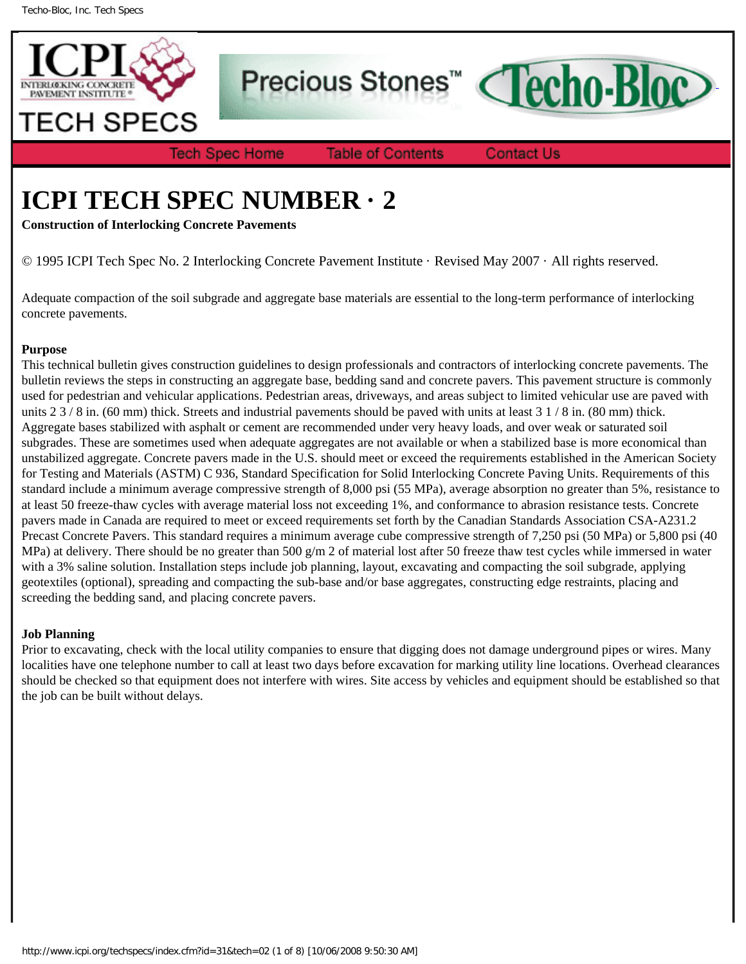

Precious Stones<sup>™</sup>

**Tech Spec Home** 

**Table of Contents** 

**Contact Us** 

**Techo-Bloc** 

# **ICPI TECH SPEC NUMBER · 2**

**Construction of Interlocking Concrete Pavements**

© 1995 ICPI Tech Spec No. 2 Interlocking Concrete Pavement Institute · Revised May 2007 · All rights reserved.

Adequate compaction of the soil subgrade and aggregate base materials are essential to the long-term performance of interlocking concrete pavements.

### **Purpose**

This technical bulletin gives construction guidelines to design professionals and contractors of interlocking concrete pavements. The bulletin reviews the steps in constructing an aggregate base, bedding sand and concrete pavers. This pavement structure is commonly used for pedestrian and vehicular applications. Pedestrian areas, driveways, and areas subject to limited vehicular use are paved with units  $23/8$  in. (60 mm) thick. Streets and industrial pavements should be paved with units at least  $31/8$  in. (80 mm) thick. Aggregate bases stabilized with asphalt or cement are recommended under very heavy loads, and over weak or saturated soil subgrades. These are sometimes used when adequate aggregates are not available or when a stabilized base is more economical than unstabilized aggregate. Concrete pavers made in the U.S. should meet or exceed the requirements established in the American Society for Testing and Materials (ASTM) C 936, Standard Specification for Solid Interlocking Concrete Paving Units. Requirements of this standard include a minimum average compressive strength of 8,000 psi (55 MPa), average absorption no greater than 5%, resistance to at least 50 freeze-thaw cycles with average material loss not exceeding 1%, and conformance to abrasion resistance tests. Concrete pavers made in Canada are required to meet or exceed requirements set forth by the Canadian Standards Association CSA-A231.2 Precast Concrete Pavers. This standard requires a minimum average cube compressive strength of 7,250 psi (50 MPa) or 5,800 psi (40 MPa) at delivery. There should be no greater than 500 g/m 2 of material lost after 50 freeze thaw test cycles while immersed in water with a 3% saline solution. Installation steps include job planning, layout, excavating and compacting the soil subgrade, applying geotextiles (optional), spreading and compacting the sub-base and/or base aggregates, constructing edge restraints, placing and screeding the bedding sand, and placing concrete pavers.

## **Job Planning**

Prior to excavating, check with the local utility companies to ensure that digging does not damage underground pipes or wires. Many localities have one telephone number to call at least two days before excavation for marking utility line locations. Overhead clearances should be checked so that equipment does not interfere with wires. Site access by vehicles and equipment should be established so that the job can be built without delays.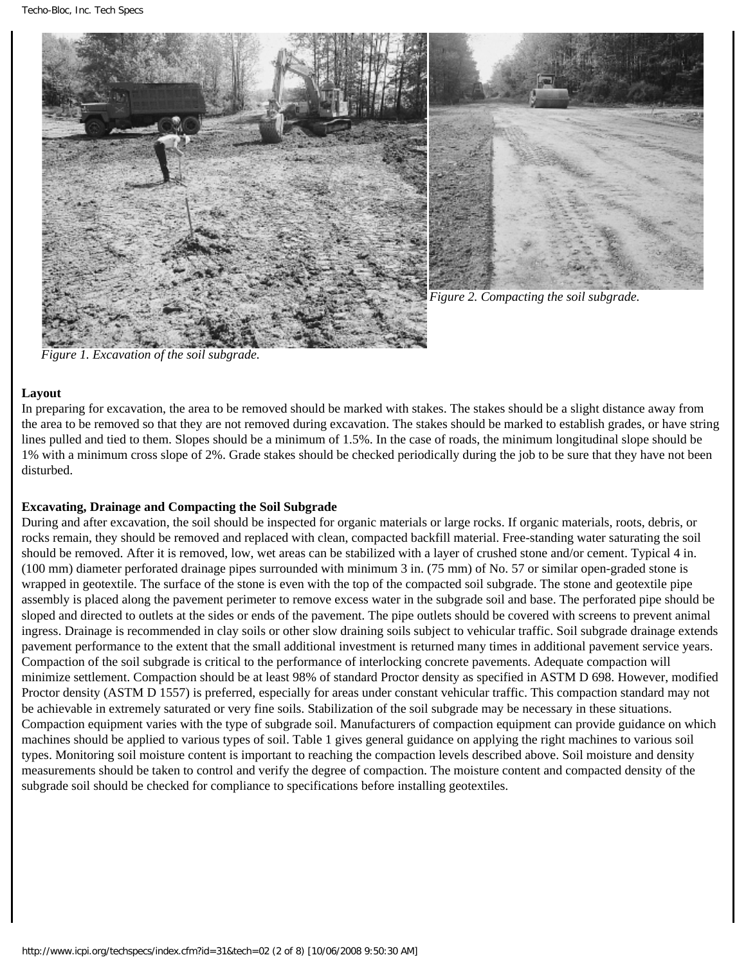



*Figure 2. Compacting the soil subgrade.*

*Figure 1. Excavation of the soil subgrade.*

### **Layout**

In preparing for excavation, the area to be removed should be marked with stakes. The stakes should be a slight distance away from the area to be removed so that they are not removed during excavation. The stakes should be marked to establish grades, or have string lines pulled and tied to them. Slopes should be a minimum of 1.5%. In the case of roads, the minimum longitudinal slope should be 1% with a minimum cross slope of 2%. Grade stakes should be checked periodically during the job to be sure that they have not been disturbed.

### **Excavating, Drainage and Compacting the Soil Subgrade**

During and after excavation, the soil should be inspected for organic materials or large rocks. If organic materials, roots, debris, or rocks remain, they should be removed and replaced with clean, compacted backfill material. Free-standing water saturating the soil should be removed. After it is removed, low, wet areas can be stabilized with a layer of crushed stone and/or cement. Typical 4 in. (100 mm) diameter perforated drainage pipes surrounded with minimum 3 in. (75 mm) of No. 57 or similar open-graded stone is wrapped in geotextile. The surface of the stone is even with the top of the compacted soil subgrade. The stone and geotextile pipe assembly is placed along the pavement perimeter to remove excess water in the subgrade soil and base. The perforated pipe should be sloped and directed to outlets at the sides or ends of the pavement. The pipe outlets should be covered with screens to prevent animal ingress. Drainage is recommended in clay soils or other slow draining soils subject to vehicular traffic. Soil subgrade drainage extends pavement performance to the extent that the small additional investment is returned many times in additional pavement service years. Compaction of the soil subgrade is critical to the performance of interlocking concrete pavements. Adequate compaction will minimize settlement. Compaction should be at least 98% of standard Proctor density as specified in ASTM D 698. However, modified Proctor density (ASTM D 1557) is preferred, especially for areas under constant vehicular traffic. This compaction standard may not be achievable in extremely saturated or very fine soils. Stabilization of the soil subgrade may be necessary in these situations. Compaction equipment varies with the type of subgrade soil. Manufacturers of compaction equipment can provide guidance on which machines should be applied to various types of soil. Table 1 gives general guidance on applying the right machines to various soil types. Monitoring soil moisture content is important to reaching the compaction levels described above. Soil moisture and density measurements should be taken to control and verify the degree of compaction. The moisture content and compacted density of the subgrade soil should be checked for compliance to specifications before installing geotextiles.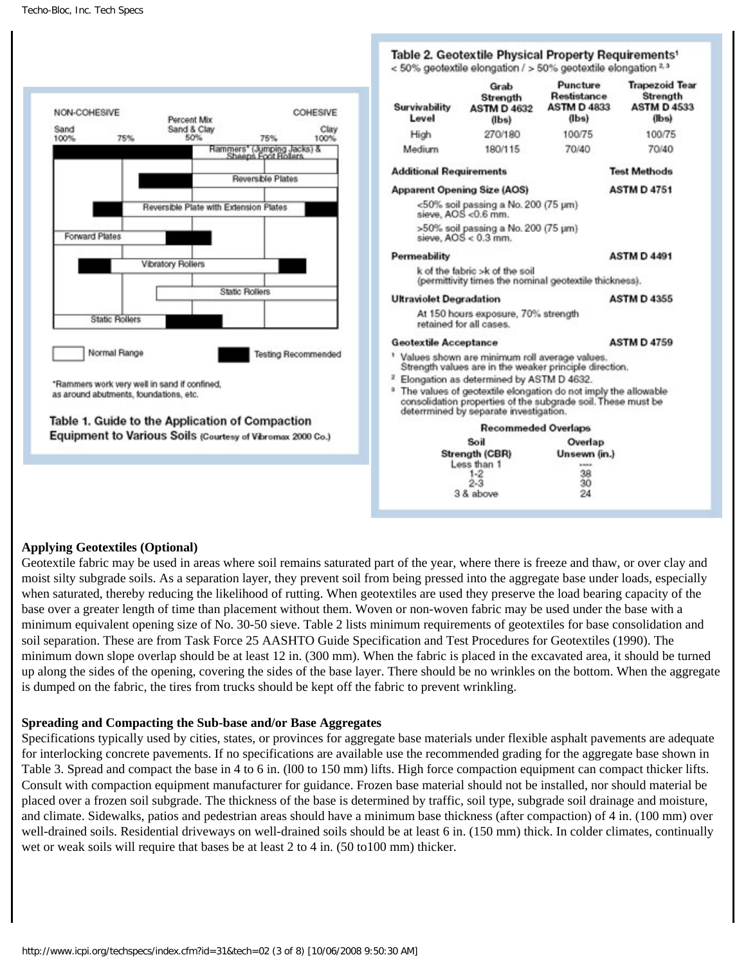

#### **Applying Geotextiles (Optional)**

Geotextile fabric may be used in areas where soil remains saturated part of the year, where there is freeze and thaw, or over clay and moist silty subgrade soils. As a separation layer, they prevent soil from being pressed into the aggregate base under loads, especially when saturated, thereby reducing the likelihood of rutting. When geotextiles are used they preserve the load bearing capacity of the base over a greater length of time than placement without them. Woven or non-woven fabric may be used under the base with a minimum equivalent opening size of No. 30-50 sieve. Table 2 lists minimum requirements of geotextiles for base consolidation and soil separation. These are from Task Force 25 AASHTO Guide Specification and Test Procedures for Geotextiles (1990). The minimum down slope overlap should be at least 12 in. (300 mm). When the fabric is placed in the excavated area, it should be turned up along the sides of the opening, covering the sides of the base layer. There should be no wrinkles on the bottom. When the aggregate is dumped on the fabric, the tires from trucks should be kept off the fabric to prevent wrinkling.

#### **Spreading and Compacting the Sub-base and/or Base Aggregates**

Specifications typically used by cities, states, or provinces for aggregate base materials under flexible asphalt pavements are adequate for interlocking concrete pavements. If no specifications are available use the recommended grading for the aggregate base shown in Table 3. Spread and compact the base in 4 to 6 in. (l00 to 150 mm) lifts. High force compaction equipment can compact thicker lifts. Consult with compaction equipment manufacturer for guidance. Frozen base material should not be installed, nor should material be placed over a frozen soil subgrade. The thickness of the base is determined by traffic, soil type, subgrade soil drainage and moisture, and climate. Sidewalks, patios and pedestrian areas should have a minimum base thickness (after compaction) of 4 in. (100 mm) over well-drained soils. Residential driveways on well-drained soils should be at least 6 in. (150 mm) thick. In colder climates, continually wet or weak soils will require that bases be at least 2 to 4 in. (50 to100 mm) thicker.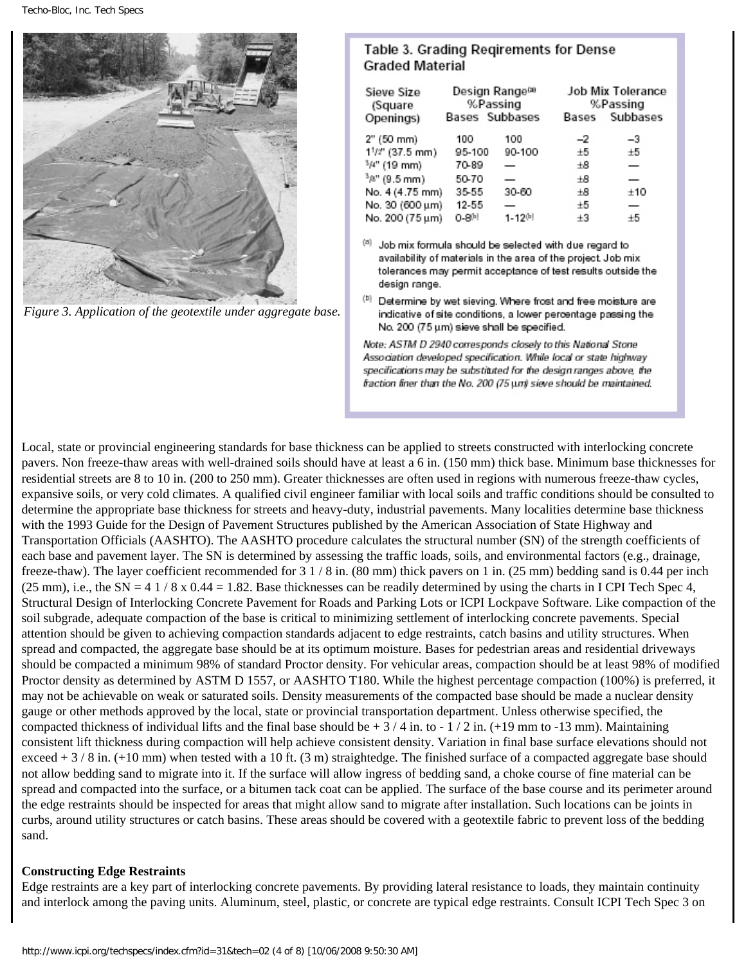

*Figure 3. Application of the geotextile under aggregate base.*

#### Table 3. Grading Regirements for Dense **Graded Material**

| Sieve Size<br>(Square | Design Range®<br>%Passing |                | Job Mix Tolerance<br>%Passing |          |
|-----------------------|---------------------------|----------------|-------------------------------|----------|
| Openings)             | Bases Subbases            |                | Bases                         | Subbases |
| 2" (50 mm)            | 100                       | 100            | -2                            | -3       |
| $1^{1}/2$ " (37.5 mm) | 95-100                    | 90-100         | $\pm 5$                       | ±5       |
| $3\mu$ " (19 mm)      | 70-89                     |                | $_{\pm 8}$                    |          |
| $3\mu$ " (9.5 mm)     | 50-70                     | —              | $\pm$ 8                       |          |
| No. 4 (4.75 mm)       | 35-55                     | 30-60          | $_{\pm 8}$                    | ±10      |
| No. 30 (600 µm)       | 12-55                     |                | ±5                            |          |
| No. 200 (75 µm)       | 0-8비                      | $1 - 12^{[b]}$ | $+3$                          | $+5$     |

Job mix formula should be selected with due regard to availability of materials in the area of the project. Job mix tolerances may permit acceptance of test results outside the design range.

<sup>(b)</sup> Determine by wet sieving. Where frost and free moisture are indicative of site conditions, a lower percentage passing the No. 200 (75 um) sieve shall be specified.

Note: ASTM D 2940 corresponds closely to this National Stone Association developed specification. While local or state highway specifications may be substituted for the design ranges above, the fraction finer than the No. 200 (75 un) sieve should be maintained.

Local, state or provincial engineering standards for base thickness can be applied to streets constructed with interlocking concrete pavers. Non freeze-thaw areas with well-drained soils should have at least a 6 in. (150 mm) thick base. Minimum base thicknesses for residential streets are 8 to 10 in. (200 to 250 mm). Greater thicknesses are often used in regions with numerous freeze-thaw cycles, expansive soils, or very cold climates. A qualified civil engineer familiar with local soils and traffic conditions should be consulted to determine the appropriate base thickness for streets and heavy-duty, industrial pavements. Many localities determine base thickness with the 1993 Guide for the Design of Pavement Structures published by the American Association of State Highway and Transportation Officials (AASHTO). The AASHTO procedure calculates the structural number (SN) of the strength coefficients of each base and pavement layer. The SN is determined by assessing the traffic loads, soils, and environmental factors (e.g., drainage, freeze-thaw). The layer coefficient recommended for 3 1 / 8 in. (80 mm) thick pavers on 1 in. (25 mm) bedding sand is 0.44 per inch (25 mm), i.e., the SN = 4 1 / 8 x 0.44 = 1.82. Base thicknesses can be readily determined by using the charts in I CPI Tech Spec 4, Structural Design of Interlocking Concrete Pavement for Roads and Parking Lots or ICPI Lockpave Software. Like compaction of the soil subgrade, adequate compaction of the base is critical to minimizing settlement of interlocking concrete pavements. Special attention should be given to achieving compaction standards adjacent to edge restraints, catch basins and utility structures. When spread and compacted, the aggregate base should be at its optimum moisture. Bases for pedestrian areas and residential driveways should be compacted a minimum 98% of standard Proctor density. For vehicular areas, compaction should be at least 98% of modified Proctor density as determined by ASTM D 1557, or AASHTO T180. While the highest percentage compaction (100%) is preferred, it may not be achievable on weak or saturated soils. Density measurements of the compacted base should be made a nuclear density gauge or other methods approved by the local, state or provincial transportation department. Unless otherwise specified, the compacted thickness of individual lifts and the final base should be  $+3/4$  in. to  $-1/2$  in. (+19 mm to  $-13$  mm). Maintaining consistent lift thickness during compaction will help achieve consistent density. Variation in final base surface elevations should not exceed  $+3/8$  in. ( $+10$  mm) when tested with a 10 ft. (3 m) straightedge. The finished surface of a compacted aggregate base should not allow bedding sand to migrate into it. If the surface will allow ingress of bedding sand, a choke course of fine material can be spread and compacted into the surface, or a bitumen tack coat can be applied. The surface of the base course and its perimeter around the edge restraints should be inspected for areas that might allow sand to migrate after installation. Such locations can be joints in curbs, around utility structures or catch basins. These areas should be covered with a geotextile fabric to prevent loss of the bedding sand.

#### **Constructing Edge Restraints**

Edge restraints are a key part of interlocking concrete pavements. By providing lateral resistance to loads, they maintain continuity and interlock among the paving units. Aluminum, steel, plastic, or concrete are typical edge restraints. Consult ICPI Tech Spec 3 on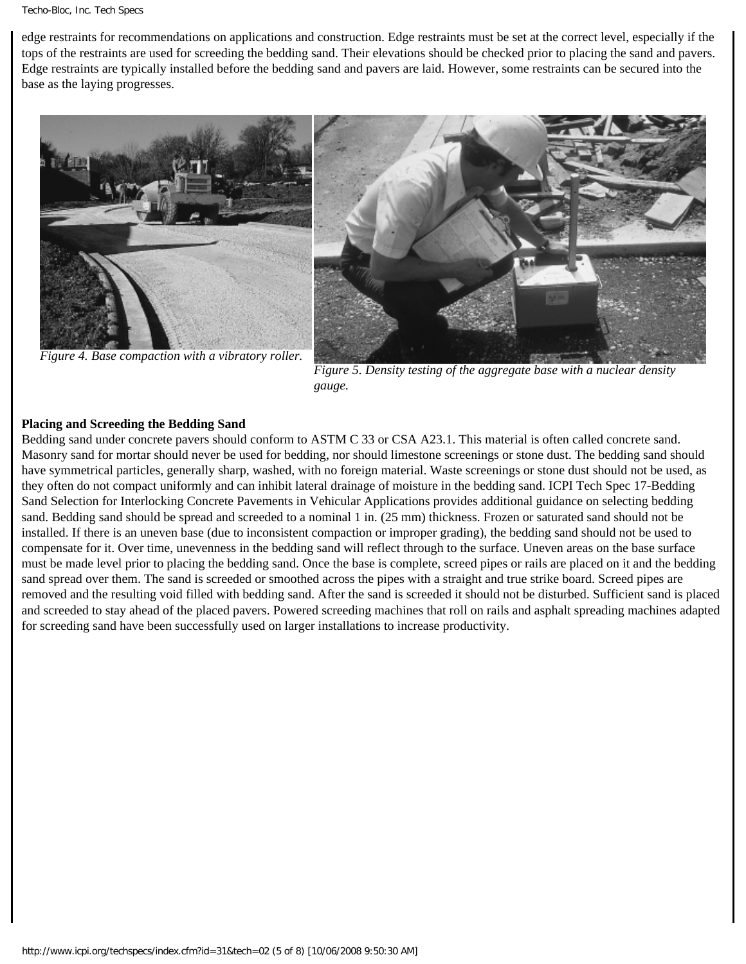edge restraints for recommendations on applications and construction. Edge restraints must be set at the correct level, especially if the tops of the restraints are used for screeding the bedding sand. Their elevations should be checked prior to placing the sand and pavers. Edge restraints are typically installed before the bedding sand and pavers are laid. However, some restraints can be secured into the base as the laying progresses.



*Figure 5. Density testing of the aggregate base with a nuclear density gauge.*

#### **Placing and Screeding the Bedding Sand**

Bedding sand under concrete pavers should conform to ASTM C 33 or CSA A23.1. This material is often called concrete sand. Masonry sand for mortar should never be used for bedding, nor should limestone screenings or stone dust. The bedding sand should have symmetrical particles, generally sharp, washed, with no foreign material. Waste screenings or stone dust should not be used, as they often do not compact uniformly and can inhibit lateral drainage of moisture in the bedding sand. ICPI Tech Spec 17-Bedding Sand Selection for Interlocking Concrete Pavements in Vehicular Applications provides additional guidance on selecting bedding sand. Bedding sand should be spread and screeded to a nominal 1 in. (25 mm) thickness. Frozen or saturated sand should not be installed. If there is an uneven base (due to inconsistent compaction or improper grading), the bedding sand should not be used to compensate for it. Over time, unevenness in the bedding sand will reflect through to the surface. Uneven areas on the base surface must be made level prior to placing the bedding sand. Once the base is complete, screed pipes or rails are placed on it and the bedding sand spread over them. The sand is screeded or smoothed across the pipes with a straight and true strike board. Screed pipes are removed and the resulting void filled with bedding sand. After the sand is screeded it should not be disturbed. Sufficient sand is placed and screeded to stay ahead of the placed pavers. Powered screeding machines that roll on rails and asphalt spreading machines adapted for screeding sand have been successfully used on larger installations to increase productivity.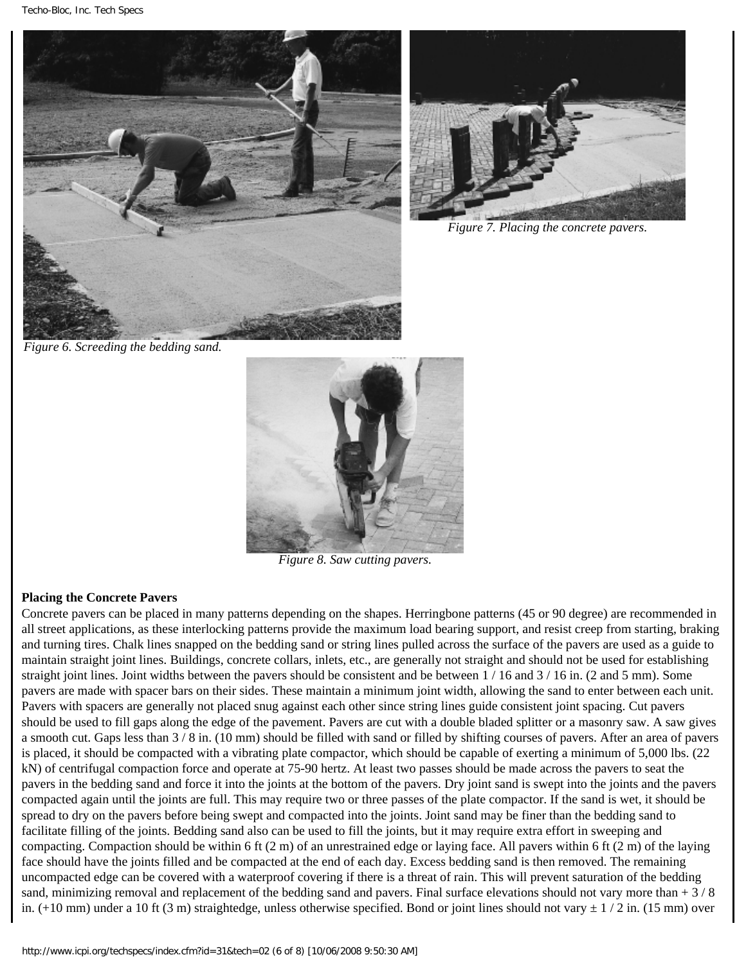Techo-Bloc, Inc. Tech Specs





*Figure 7. Placing the concrete pavers.*

*Figure 6. Screeding the bedding sand.*



*Figure 8. Saw cutting pavers.*

### **Placing the Concrete Pavers**

Concrete pavers can be placed in many patterns depending on the shapes. Herringbone patterns (45 or 90 degree) are recommended in all street applications, as these interlocking patterns provide the maximum load bearing support, and resist creep from starting, braking and turning tires. Chalk lines snapped on the bedding sand or string lines pulled across the surface of the pavers are used as a guide to maintain straight joint lines. Buildings, concrete collars, inlets, etc., are generally not straight and should not be used for establishing straight joint lines. Joint widths between the pavers should be consistent and be between  $1/16$  and  $3/16$  in. (2 and 5 mm). Some pavers are made with spacer bars on their sides. These maintain a minimum joint width, allowing the sand to enter between each unit. Pavers with spacers are generally not placed snug against each other since string lines guide consistent joint spacing. Cut pavers should be used to fill gaps along the edge of the pavement. Pavers are cut with a double bladed splitter or a masonry saw. A saw gives a smooth cut. Gaps less than 3 / 8 in. (10 mm) should be filled with sand or filled by shifting courses of pavers. After an area of pavers is placed, it should be compacted with a vibrating plate compactor, which should be capable of exerting a minimum of 5,000 lbs. (22 kN) of centrifugal compaction force and operate at 75-90 hertz. At least two passes should be made across the pavers to seat the pavers in the bedding sand and force it into the joints at the bottom of the pavers. Dry joint sand is swept into the joints and the pavers compacted again until the joints are full. This may require two or three passes of the plate compactor. If the sand is wet, it should be spread to dry on the pavers before being swept and compacted into the joints. Joint sand may be finer than the bedding sand to facilitate filling of the joints. Bedding sand also can be used to fill the joints, but it may require extra effort in sweeping and compacting. Compaction should be within 6 ft (2 m) of an unrestrained edge or laying face. All pavers within 6 ft (2 m) of the laying face should have the joints filled and be compacted at the end of each day. Excess bedding sand is then removed. The remaining uncompacted edge can be covered with a waterproof covering if there is a threat of rain. This will prevent saturation of the bedding sand, minimizing removal and replacement of the bedding sand and pavers. Final surface elevations should not vary more than  $+3/8$ in.  $(+10 \text{ mm})$  under a 10 ft (3 m) straightedge, unless otherwise specified. Bond or joint lines should not vary  $\pm 1/2$  in. (15 mm) over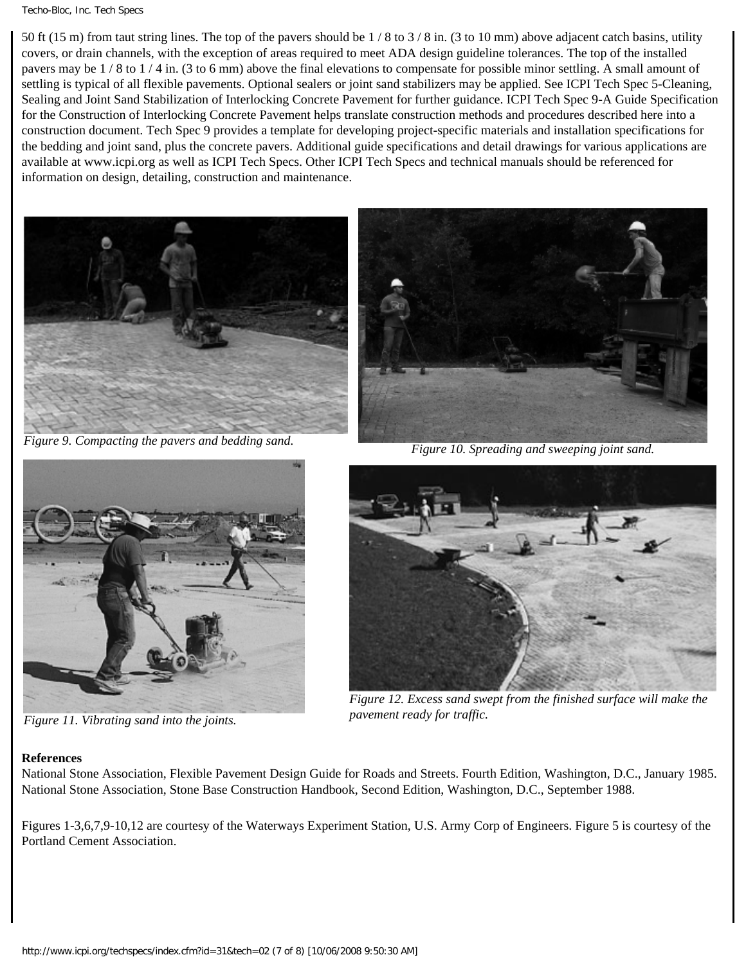#### Techo-Bloc, Inc. Tech Specs

50 ft (15 m) from taut string lines. The top of the pavers should be  $1/8$  to  $3/8$  in. (3 to 10 mm) above adjacent catch basins, utility covers, or drain channels, with the exception of areas required to meet ADA design guideline tolerances. The top of the installed pavers may be 1 / 8 to 1 / 4 in. (3 to 6 mm) above the final elevations to compensate for possible minor settling. A small amount of settling is typical of all flexible pavements. Optional sealers or joint sand stabilizers may be applied. See ICPI Tech Spec 5-Cleaning, Sealing and Joint Sand Stabilization of Interlocking Concrete Pavement for further guidance. ICPI Tech Spec 9-A Guide Specification for the Construction of Interlocking Concrete Pavement helps translate construction methods and procedures described here into a construction document. Tech Spec 9 provides a template for developing project-specific materials and installation specifications for the bedding and joint sand, plus the concrete pavers. Additional guide specifications and detail drawings for various applications are available at www.icpi.org as well as ICPI Tech Specs. Other ICPI Tech Specs and technical manuals should be referenced for information on design, detailing, construction and maintenance.



*Figure 9. Compacting the pavers and bedding sand. Figure 10. Spreading and sweeping joint sand.*





*Figure 11. Vibrating sand into the joints.*



*Figure 12. Excess sand swept from the finished surface will make the pavement ready for traffic.*

### **References**

National Stone Association, Flexible Pavement Design Guide for Roads and Streets. Fourth Edition, Washington, D.C., January 1985. National Stone Association, Stone Base Construction Handbook, Second Edition, Washington, D.C., September 1988.

Figures 1-3,6,7,9-10,12 are courtesy of the Waterways Experiment Station, U.S. Army Corp of Engineers. Figure 5 is courtesy of the Portland Cement Association.